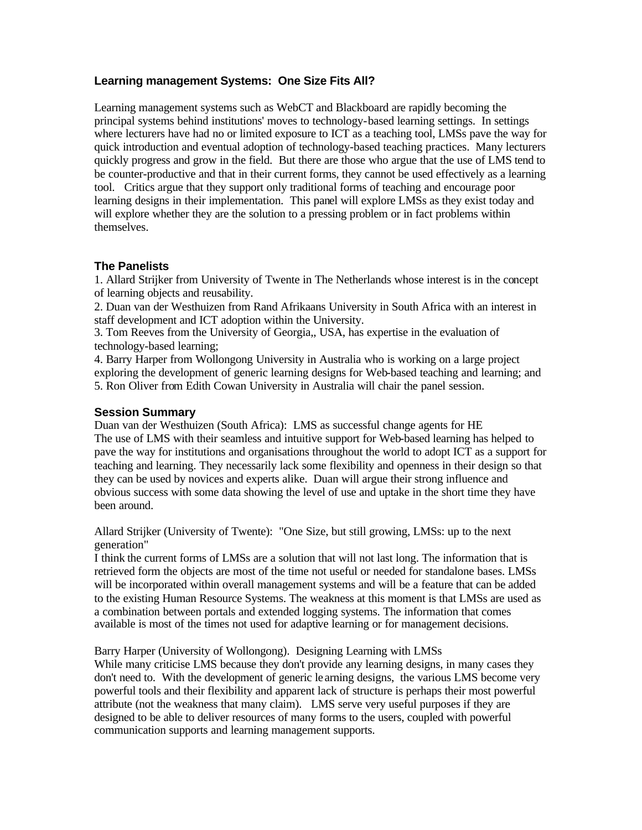## **Learning management Systems: One Size Fits All?**

Learning management systems such as WebCT and Blackboard are rapidly becoming the principal systems behind institutions' moves to technology-based learning settings. In settings where lecturers have had no or limited exposure to ICT as a teaching tool, LMSs pave the way for quick introduction and eventual adoption of technology-based teaching practices. Many lecturers quickly progress and grow in the field. But there are those who argue that the use of LMS tend to be counter-productive and that in their current forms, they cannot be used effectively as a learning tool. Critics argue that they support only traditional forms of teaching and encourage poor learning designs in their implementation. This panel will explore LMSs as they exist today and will explore whether they are the solution to a pressing problem or in fact problems within themselves.

## **The Panelists**

1. Allard Strijker from University of Twente in The Netherlands whose interest is in the concept of learning objects and reusability.

2. Duan van der Westhuizen from Rand Afrikaans University in South Africa with an interest in staff development and ICT adoption within the University.

3. Tom Reeves from the University of Georgia,, USA, has expertise in the evaluation of technology-based learning;

4. Barry Harper from Wollongong University in Australia who is working on a large project exploring the development of generic learning designs for Web-based teaching and learning; and 5. Ron Oliver from Edith Cowan University in Australia will chair the panel session.

## **Session Summary**

Duan van der Westhuizen (South Africa): LMS as successful change agents for HE The use of LMS with their seamless and intuitive support for Web-based learning has helped to pave the way for institutions and organisations throughout the world to adopt ICT as a support for teaching and learning. They necessarily lack some flexibility and openness in their design so that they can be used by novices and experts alike. Duan will argue their strong influence and obvious success with some data showing the level of use and uptake in the short time they have been around.

Allard Strijker (University of Twente): "One Size, but still growing, LMSs: up to the next generation"

I think the current forms of LMSs are a solution that will not last long. The information that is retrieved form the objects are most of the time not useful or needed for standalone bases. LMSs will be incorporated within overall management systems and will be a feature that can be added to the existing Human Resource Systems. The weakness at this moment is that LMSs are used as a combination between portals and extended logging systems. The information that comes available is most of the times not used for adaptive learning or for management decisions.

Barry Harper (University of Wollongong). Designing Learning with LMSs

While many criticise LMS because they don't provide any learning designs, in many cases they don't need to. With the development of generic le arning designs, the various LMS become very powerful tools and their flexibility and apparent lack of structure is perhaps their most powerful attribute (not the weakness that many claim). LMS serve very useful purposes if they are designed to be able to deliver resources of many forms to the users, coupled with powerful communication supports and learning management supports.